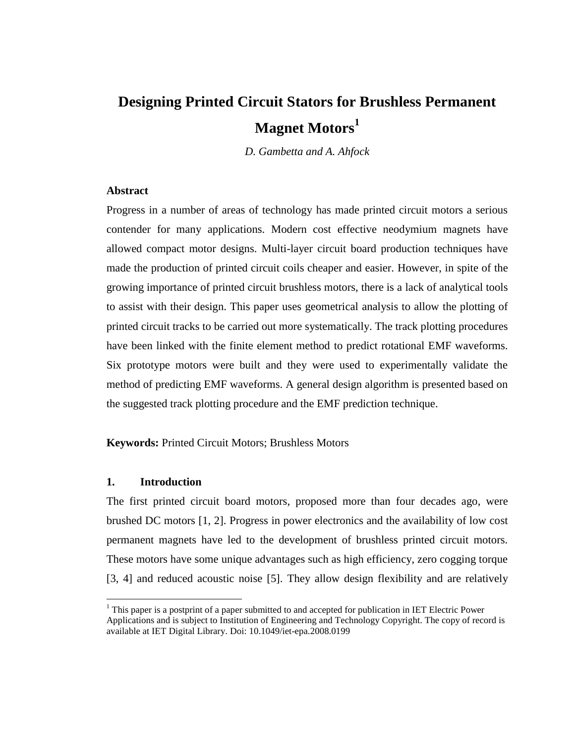# **Designing Printed Circuit Stators for Brushless Permanent Magnet Motors<sup>1</sup>**

*D. Gambetta and A. Ahfock*

# **Abstract**

Progress in a number of areas of technology has made printed circuit motors a serious contender for many applications. Modern cost effective neodymium magnets have allowed compact motor designs. Multi-layer circuit board production techniques have made the production of printed circuit coils cheaper and easier. However, in spite of the growing importance of printed circuit brushless motors, there is a lack of analytical tools to assist with their design. This paper uses geometrical analysis to allow the plotting of printed circuit tracks to be carried out more systematically. The track plotting procedures have been linked with the finite element method to predict rotational EMF waveforms. Six prototype motors were built and they were used to experimentally validate the method of predicting EMF waveforms. A general design algorithm is presented based on the suggested track plotting procedure and the EMF prediction technique.

**Keywords:** Printed Circuit Motors; Brushless Motors

# **1. Introduction**

 $\overline{a}$ 

The first printed circuit board motors, proposed more than four decades ago, were brushed DC motors [1, 2]. Progress in power electronics and the availability of low cost permanent magnets have led to the development of brushless printed circuit motors. These motors have some unique advantages such as high efficiency, zero cogging torque [3, 4] and reduced acoustic noise [5]. They allow design flexibility and are relatively

 $<sup>1</sup>$  This paper is a postprint of a paper submitted to and accepted for publication in IET Electric Power</sup> Applications and is subject to Institution of Engineering and Technology Copyright. The copy of record is available at IET Digital Library. Doi: 10.1049/iet-epa.2008.0199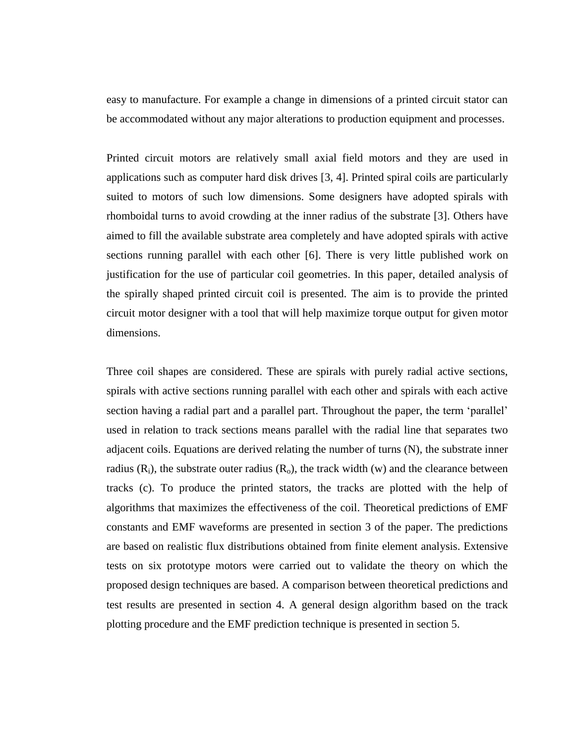easy to manufacture. For example a change in dimensions of a printed circuit stator can be accommodated without any major alterations to production equipment and processes.

Printed circuit motors are relatively small axial field motors and they are used in applications such as computer hard disk drives [3, 4]. Printed spiral coils are particularly suited to motors of such low dimensions. Some designers have adopted spirals with rhomboidal turns to avoid crowding at the inner radius of the substrate [3]. Others have aimed to fill the available substrate area completely and have adopted spirals with active sections running parallel with each other [6]. There is very little published work on justification for the use of particular coil geometries. In this paper, detailed analysis of the spirally shaped printed circuit coil is presented. The aim is to provide the printed circuit motor designer with a tool that will help maximize torque output for given motor dimensions.

Three coil shapes are considered. These are spirals with purely radial active sections, spirals with active sections running parallel with each other and spirals with each active section having a radial part and a parallel part. Throughout the paper, the term 'parallel' used in relation to track sections means parallel with the radial line that separates two adjacent coils. Equations are derived relating the number of turns (N), the substrate inner radius  $(R_i)$ , the substrate outer radius  $(R_o)$ , the track width  $(w)$  and the clearance between tracks (c). To produce the printed stators, the tracks are plotted with the help of algorithms that maximizes the effectiveness of the coil. Theoretical predictions of EMF constants and EMF waveforms are presented in section 3 of the paper. The predictions are based on realistic flux distributions obtained from finite element analysis. Extensive tests on six prototype motors were carried out to validate the theory on which the proposed design techniques are based. A comparison between theoretical predictions and test results are presented in section 4. A general design algorithm based on the track plotting procedure and the EMF prediction technique is presented in section 5.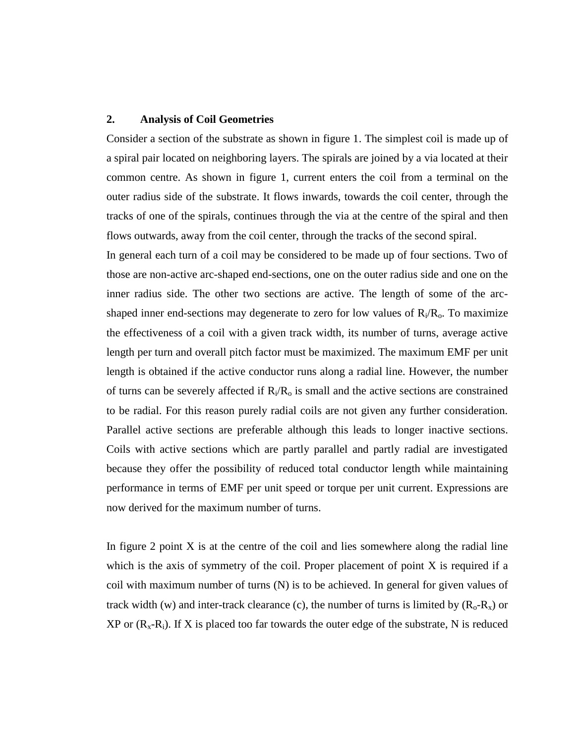# **2. Analysis of Coil Geometries**

Consider a section of the substrate as shown in figure 1. The simplest coil is made up of a spiral pair located on neighboring layers. The spirals are joined by a via located at their common centre. As shown in figure 1, current enters the coil from a terminal on the outer radius side of the substrate. It flows inwards, towards the coil center, through the tracks of one of the spirals, continues through the via at the centre of the spiral and then flows outwards, away from the coil center, through the tracks of the second spiral.

In general each turn of a coil may be considered to be made up of four sections. Two of those are non-active arc-shaped end-sections, one on the outer radius side and one on the inner radius side. The other two sections are active. The length of some of the arcshaped inner end-sections may degenerate to zero for low values of  $R_i/R_o$ . To maximize the effectiveness of a coil with a given track width, its number of turns, average active length per turn and overall pitch factor must be maximized. The maximum EMF per unit length is obtained if the active conductor runs along a radial line. However, the number of turns can be severely affected if  $R_i/R_o$  is small and the active sections are constrained to be radial. For this reason purely radial coils are not given any further consideration. Parallel active sections are preferable although this leads to longer inactive sections. Coils with active sections which are partly parallel and partly radial are investigated because they offer the possibility of reduced total conductor length while maintaining performance in terms of EMF per unit speed or torque per unit current. Expressions are now derived for the maximum number of turns.

In figure 2 point  $X$  is at the centre of the coil and lies somewhere along the radial line which is the axis of symmetry of the coil. Proper placement of point X is required if a coil with maximum number of turns  $(N)$  is to be achieved. In general for given values of track width (w) and inter-track clearance (c), the number of turns is limited by  $(R_0-R_x)$  or  $XP$  or  $(R_x-R_i)$ . If X is placed too far towards the outer edge of the substrate, N is reduced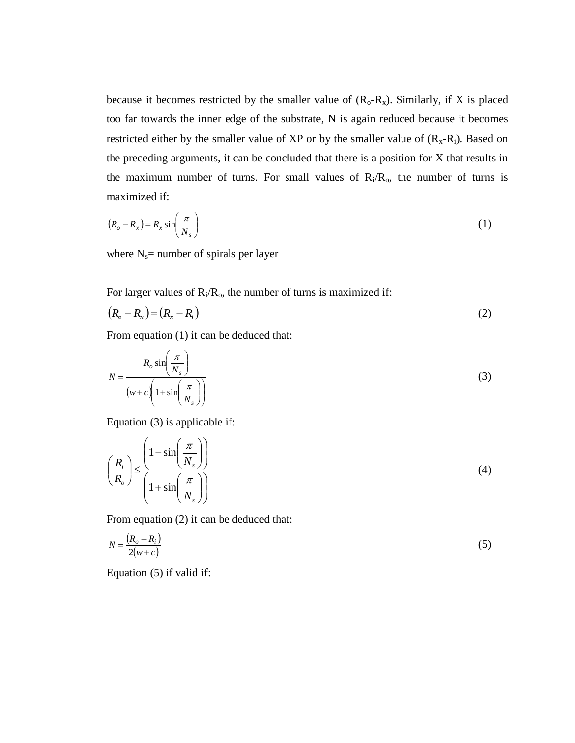because it becomes restricted by the smaller value of  $(R_0-R_x)$ . Similarly, if X is placed too far towards the inner edge of the substrate, N is again reduced because it becomes restricted either by the smaller value of XP or by the smaller value of  $(R_x-R_i)$ . Based on the preceding arguments, it can be concluded that there is a position for X that results in the maximum number of turns. For small values of  $R_i/R_o$ , the number of turns is maximized if:

$$
(R_o - R_x) = R_x \sin\left(\frac{\pi}{N_s}\right) \tag{1}
$$

where  $N_s$ = number of spirals per layer

For larger values of  $R_i/R_o$ , the number of turns is maximized if:

$$
(R_o - R_x) = (R_x - R_i) \tag{2}
$$

From equation (1) it can be deduced that:

$$
N = \frac{R_o \sin\left(\frac{\pi}{N_s}\right)}{\left(w + c\left(1 + \sin\left(\frac{\pi}{N_s}\right)\right)}\right)}
$$
(3)

Equation (3) is applicable if:

$$
\left(\frac{R_i}{R_o}\right) \le \frac{\left(1 - \sin\left(\frac{\pi}{N_s}\right)\right)}{\left(1 + \sin\left(\frac{\pi}{N_s}\right)\right)}
$$
\n(4)

From equation (2) it can be deduced that:

$$
N = \frac{(R_o - R_i)}{2(w + c)}
$$
\n<sup>(5)</sup>

Equation (5) if valid if: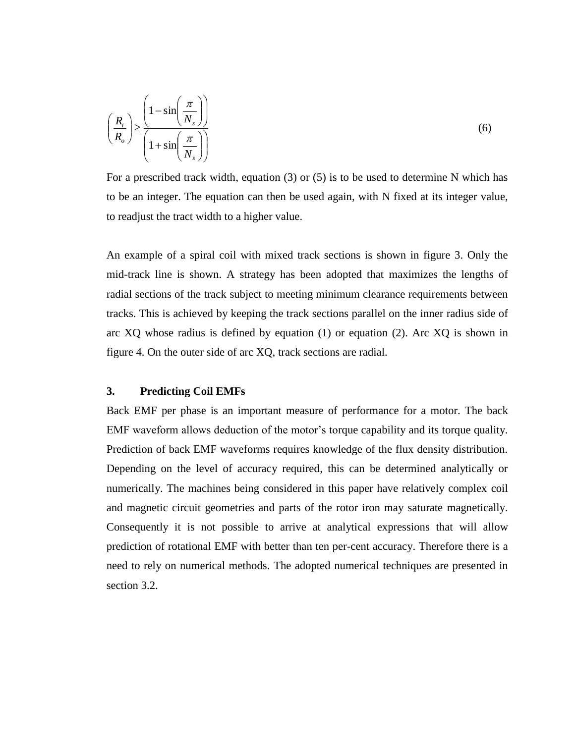$$
\left(\frac{R_i}{R_o}\right) \ge \frac{\left(1 - \sin\left(\frac{\pi}{N_s}\right)\right)}{\left(1 + \sin\left(\frac{\pi}{N_s}\right)\right)}
$$
\n(6)

For a prescribed track width, equation (3) or (5) is to be used to determine N which has to be an integer. The equation can then be used again, with N fixed at its integer value, to readjust the tract width to a higher value.

An example of a spiral coil with mixed track sections is shown in figure 3. Only the mid-track line is shown. A strategy has been adopted that maximizes the lengths of radial sections of the track subject to meeting minimum clearance requirements between tracks. This is achieved by keeping the track sections parallel on the inner radius side of arc XQ whose radius is defined by equation (1) or equation (2). Arc XQ is shown in figure 4. On the outer side of arc XQ, track sections are radial.

# **3. Predicting Coil EMFs**

Back EMF per phase is an important measure of performance for a motor. The back EMF waveform allows deduction of the motor's torque capability and its torque quality. Prediction of back EMF waveforms requires knowledge of the flux density distribution. Depending on the level of accuracy required, this can be determined analytically or numerically. The machines being considered in this paper have relatively complex coil and magnetic circuit geometries and parts of the rotor iron may saturate magnetically. Consequently it is not possible to arrive at analytical expressions that will allow prediction of rotational EMF with better than ten per-cent accuracy. Therefore there is a need to rely on numerical methods. The adopted numerical techniques are presented in section 3.2.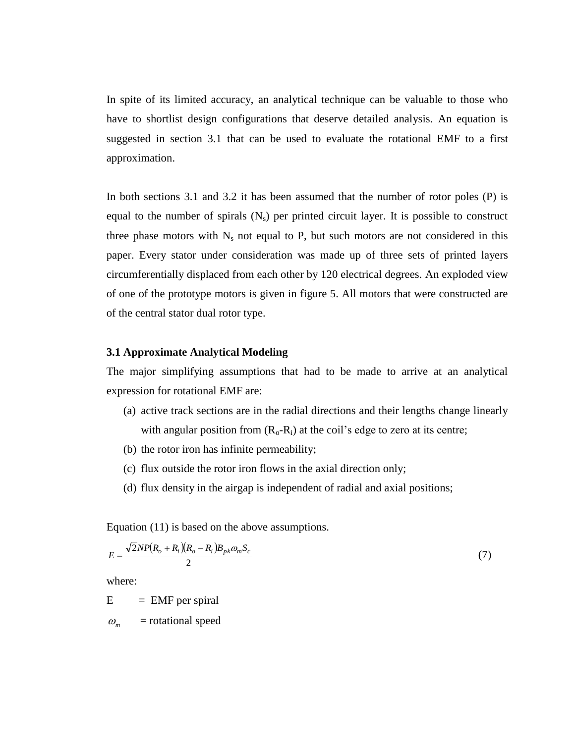In spite of its limited accuracy, an analytical technique can be valuable to those who have to shortlist design configurations that deserve detailed analysis. An equation is suggested in section 3.1 that can be used to evaluate the rotational EMF to a first approximation.

In both sections 3.1 and 3.2 it has been assumed that the number of rotor poles (P) is equal to the number of spirals  $(N_s)$  per printed circuit layer. It is possible to construct three phase motors with  $N_s$  not equal to P, but such motors are not considered in this paper. Every stator under consideration was made up of three sets of printed layers circumferentially displaced from each other by 120 electrical degrees. An exploded view of one of the prototype motors is given in figure 5. All motors that were constructed are of the central stator dual rotor type.

# **3.1 Approximate Analytical Modeling**

The major simplifying assumptions that had to be made to arrive at an analytical expression for rotational EMF are:

- (a) active track sections are in the radial directions and their lengths change linearly with angular position from  $(R_0-R_i)$  at the coil's edge to zero at its centre;
- (b) the rotor iron has infinite permeability;
- (c) flux outside the rotor iron flows in the axial direction only;
- (d) flux density in the airgap is independent of radial and axial positions;

Equation (11) is based on the above assumptions.

$$
E = \frac{\sqrt{2NP(R_o + R_i)(R_o - R_i)B_{pk}\omega_m S_c}}{2}
$$
\n<sup>(7)</sup>

where:

 $E = EMF$  per spiral

 *m* = rotational speed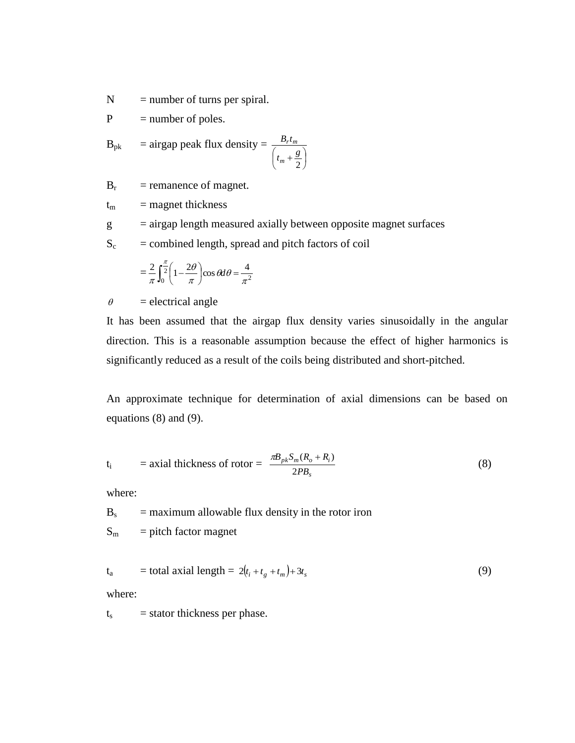$N =$  number of turns per spiral.

 $P = number of poles.$ 

$$
B_{pk} = \text{airgap peak flux density} = \frac{B_r t_m}{\left(t_m + \frac{g}{2}\right)}
$$

 $B_r$ = remanence of magnet.

 $t_m$  = magnet thickness

g = airgap length measured axially between opposite magnet surfaces

 $S_c$  = combined length, spread and pitch factors of coil

$$
=\frac{2}{\pi}\int_0^{\frac{\pi}{2}}\left(1-\frac{2\theta}{\pi}\right)\cos\theta d\theta=\frac{4}{\pi^2}
$$

 $\theta$  = electrical angle

It has been assumed that the airgap flux density varies sinusoidally in the angular direction. This is a reasonable assumption because the effect of higher harmonics is significantly reduced as a result of the coils being distributed and short-pitched.

An approximate technique for determination of axial dimensions can be based on equations (8) and (9).

$$
t_i = \text{axial thickness of rotor} = \frac{\pi B_{pk} S_m (R_o + R_i)}{2PB_s}
$$
 (8)

where:

 $B_s$  = maximum allowable flux density in the rotor iron

 $S_m$  = pitch factor magnet

$$
t_a = total axial length = 2(t_i + t_g + t_m) + 3t_s
$$
\n(9)

where:

 $t_s$  = stator thickness per phase.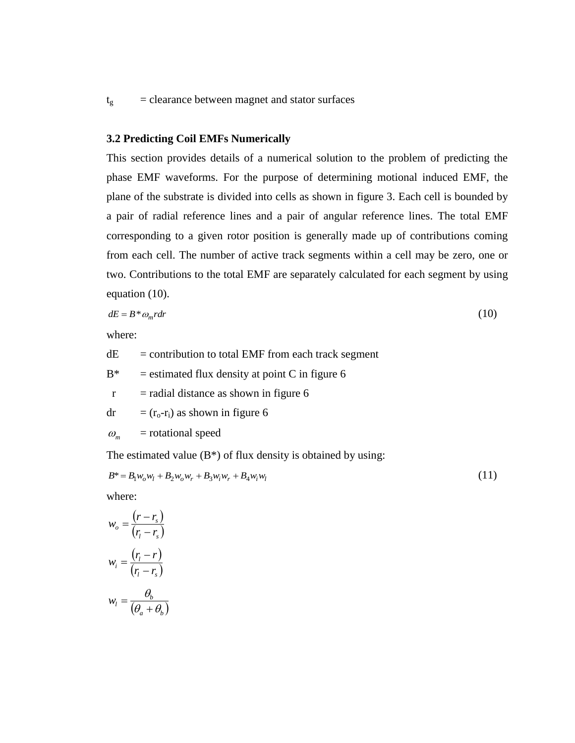# $t_g$  = clearance between magnet and stator surfaces

#### **3.2 Predicting Coil EMFs Numerically**

This section provides details of a numerical solution to the problem of predicting the phase EMF waveforms. For the purpose of determining motional induced EMF, the plane of the substrate is divided into cells as shown in figure 3. Each cell is bounded by a pair of radial reference lines and a pair of angular reference lines. The total EMF corresponding to a given rotor position is generally made up of contributions coming from each cell. The number of active track segments within a cell may be zero, one or two. Contributions to the total EMF are separately calculated for each segment by using equation (10).

$$
dE = B^* \omega_m r dr \tag{10}
$$

where:

 $dE$  = contribution to total EMF from each track segment

 $B^*$  = estimated flux density at point C in figure 6

 $r =$  radial distance as shown in figure 6

$$
dr = (r_0 - r_i) \text{ as shown in figure 6}
$$

$$
\omega_m
$$
 = rotational speed

The estimated value  $(B^*)$  of flux density is obtained by using:

$$
B^* = B_1 w_o w_l + B_2 w_o w_r + B_3 w_i w_r + B_4 w_i w_l \tag{11}
$$

(11)

where:

$$
w_o = \frac{(r - r_s)}{(r_i - r_s)}
$$

$$
w_i = \frac{(r_i - r)}{(r_i - r_s)}
$$

$$
w_l = \frac{\theta_b}{(\theta_a + \theta_b)}
$$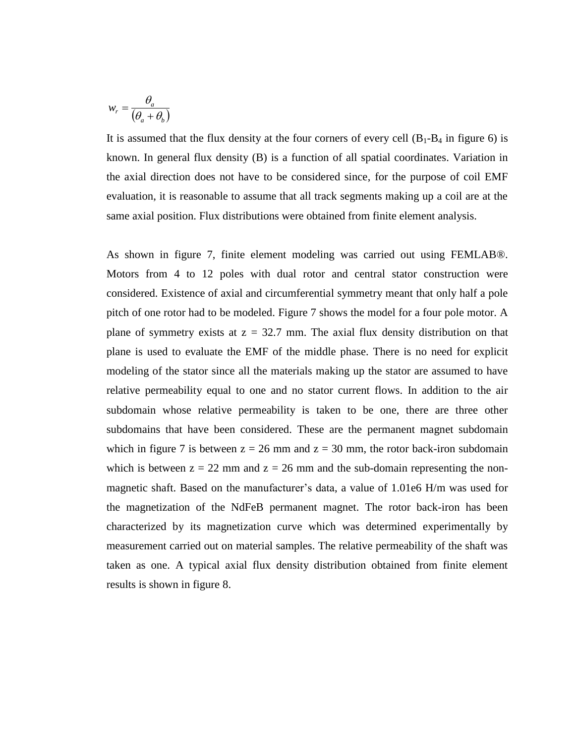$$
w_r = \frac{\theta_a}{\left(\theta_a + \theta_b\right)}
$$

It is assumed that the flux density at the four corners of every cell  $(B_1-B_4)$  in figure 6) is known. In general flux density (B) is a function of all spatial coordinates. Variation in the axial direction does not have to be considered since, for the purpose of coil EMF evaluation, it is reasonable to assume that all track segments making up a coil are at the same axial position. Flux distributions were obtained from finite element analysis.

As shown in figure 7, finite element modeling was carried out using FEMLAB®. Motors from 4 to 12 poles with dual rotor and central stator construction were considered. Existence of axial and circumferential symmetry meant that only half a pole pitch of one rotor had to be modeled. Figure 7 shows the model for a four pole motor. A plane of symmetry exists at  $z = 32.7$  mm. The axial flux density distribution on that plane is used to evaluate the EMF of the middle phase. There is no need for explicit modeling of the stator since all the materials making up the stator are assumed to have relative permeability equal to one and no stator current flows. In addition to the air subdomain whose relative permeability is taken to be one, there are three other subdomains that have been considered. These are the permanent magnet subdomain which in figure 7 is between  $z = 26$  mm and  $z = 30$  mm, the rotor back-iron subdomain which is between  $z = 22$  mm and  $z = 26$  mm and the sub-domain representing the nonmagnetic shaft. Based on the manufacturer's data, a value of 1.01e6 H/m was used for the magnetization of the NdFeB permanent magnet. The rotor back-iron has been characterized by its magnetization curve which was determined experimentally by measurement carried out on material samples. The relative permeability of the shaft was taken as one. A typical axial flux density distribution obtained from finite element results is shown in figure 8.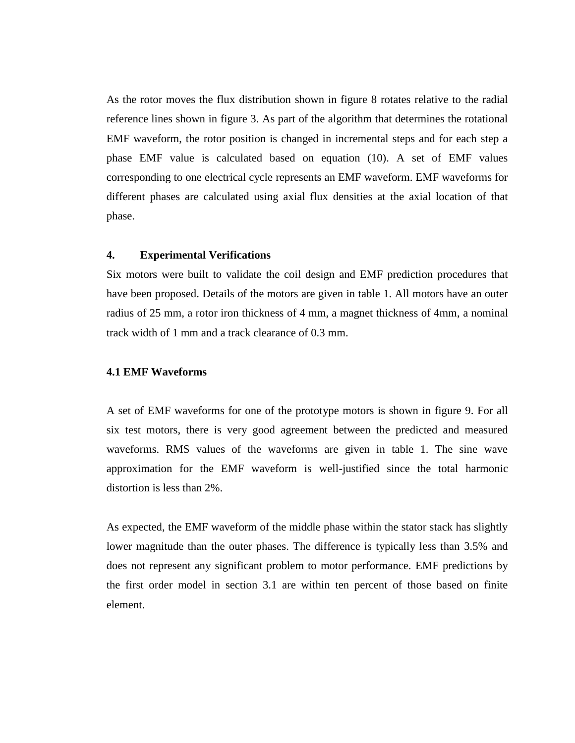As the rotor moves the flux distribution shown in figure 8 rotates relative to the radial reference lines shown in figure 3. As part of the algorithm that determines the rotational EMF waveform, the rotor position is changed in incremental steps and for each step a phase EMF value is calculated based on equation (10). A set of EMF values corresponding to one electrical cycle represents an EMF waveform. EMF waveforms for different phases are calculated using axial flux densities at the axial location of that phase.

#### **4. Experimental Verifications**

Six motors were built to validate the coil design and EMF prediction procedures that have been proposed. Details of the motors are given in table 1. All motors have an outer radius of 25 mm, a rotor iron thickness of 4 mm, a magnet thickness of 4mm, a nominal track width of 1 mm and a track clearance of 0.3 mm.

#### **4.1 EMF Waveforms**

A set of EMF waveforms for one of the prototype motors is shown in figure 9. For all six test motors, there is very good agreement between the predicted and measured waveforms. RMS values of the waveforms are given in table 1. The sine wave approximation for the EMF waveform is well-justified since the total harmonic distortion is less than 2%.

As expected, the EMF waveform of the middle phase within the stator stack has slightly lower magnitude than the outer phases. The difference is typically less than 3.5% and does not represent any significant problem to motor performance. EMF predictions by the first order model in section 3.1 are within ten percent of those based on finite element.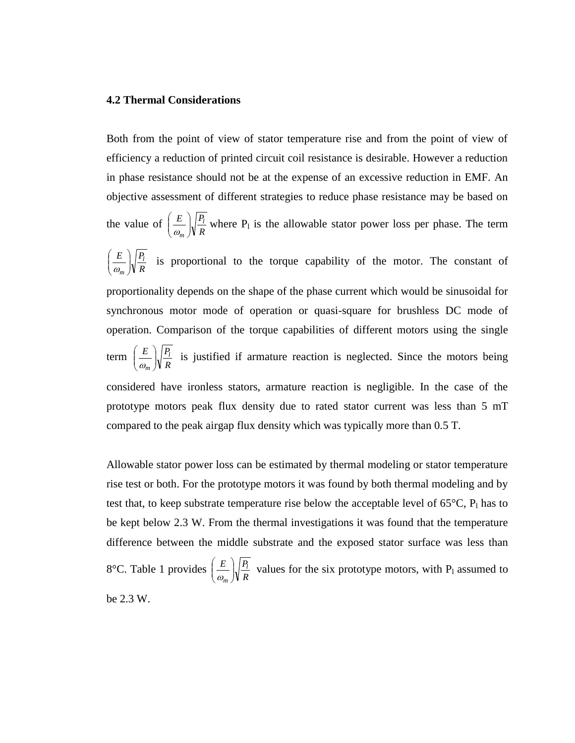#### **4.2 Thermal Considerations**

Both from the point of view of stator temperature rise and from the point of view of efficiency a reduction of printed circuit coil resistance is desirable. However a reduction in phase resistance should not be at the expense of an excessive reduction in EMF. An objective assessment of different strategies to reduce phase resistance may be based on the value of  $\left(\frac{E}{\omega_m}\right)\sqrt{\frac{I_l}{R}}$  $E \big| P_l$  $\left(\frac{2}{m}\right)$ J  $\backslash$  $\overline{\phantom{a}}$  $\overline{\mathcal{L}}$ ſ  $\frac{E}{\omega_{\text{w}}}$   $\sqrt{\frac{I_1}{R}}$  where P<sub>1</sub> is the allowable stator power loss per phase. The term *R*  $E \big| P_l$  $\left(\frac{2}{m}\right)$ J  $\backslash$  $\overline{\phantom{a}}$ ∖ ſ  $\frac{E}{\omega_{n}}\sqrt{\frac{I_{1}}{R}}$  is proportional to the torque capability of the motor. The constant of proportionality depends on the shape of the phase current which would be sinusoidal for synchronous motor mode of operation or quasi-square for brushless DC mode of operation. Comparison of the torque capabilities of different motors using the single term  $\left(\frac{E}{\omega_m}\right)\sqrt{\frac{I_l}{R}}$  $E \big| P_l$  $\left(\frac{2}{m}\right)$ J  $\backslash$  $\overline{\phantom{a}}$  $\backslash$ ſ  $\frac{E}{\omega}$   $\sqrt{\frac{I_1}{R}}$  is justified if armature reaction is neglected. Since the motors being considered have ironless stators, armature reaction is negligible. In the case of the prototype motors peak flux density due to rated stator current was less than 5 mT compared to the peak airgap flux density which was typically more than 0.5 T.

Allowable stator power loss can be estimated by thermal modeling or stator temperature rise test or both. For the prototype motors it was found by both thermal modeling and by test that, to keep substrate temperature rise below the acceptable level of  $65^{\circ}$ C,  $P_1$  has to be kept below 2.3 W. From the thermal investigations it was found that the temperature difference between the middle substrate and the exposed stator surface was less than 8°C. Table 1 provides  $\left\lfloor \frac{E}{\omega_m} \right\rfloor \sqrt{\frac{I_l}{R}}$  $E \bigcap P_l$  $\left(\frac{2}{m}\right)$ J )  $\overline{\phantom{a}}$ J ſ  $\frac{E}{\omega_n}$   $\sqrt{\frac{I_1}{R}}$  values for the six prototype motors, with P<sub>l</sub> assumed to be 2.3 W.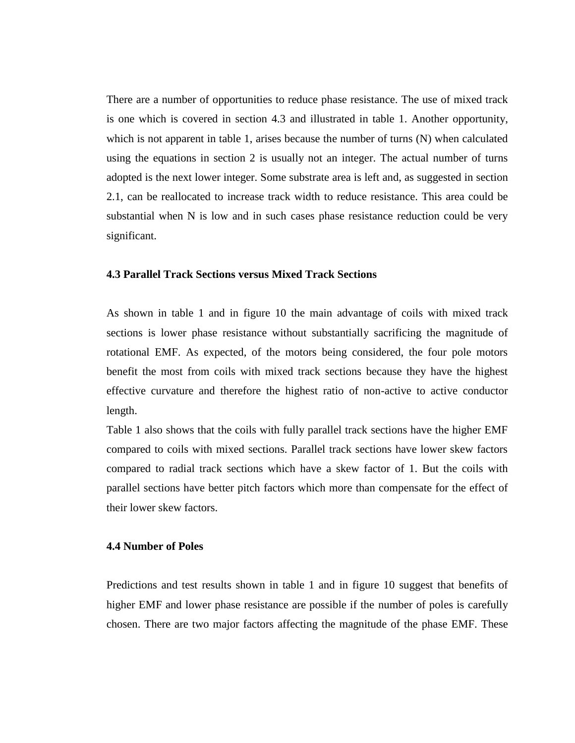There are a number of opportunities to reduce phase resistance. The use of mixed track is one which is covered in section 4.3 and illustrated in table 1. Another opportunity, which is not apparent in table 1, arises because the number of turns (N) when calculated using the equations in section 2 is usually not an integer. The actual number of turns adopted is the next lower integer. Some substrate area is left and, as suggested in section 2.1, can be reallocated to increase track width to reduce resistance. This area could be substantial when N is low and in such cases phase resistance reduction could be very significant.

#### **4.3 Parallel Track Sections versus Mixed Track Sections**

As shown in table 1 and in figure 10 the main advantage of coils with mixed track sections is lower phase resistance without substantially sacrificing the magnitude of rotational EMF. As expected, of the motors being considered, the four pole motors benefit the most from coils with mixed track sections because they have the highest effective curvature and therefore the highest ratio of non-active to active conductor length.

Table 1 also shows that the coils with fully parallel track sections have the higher EMF compared to coils with mixed sections. Parallel track sections have lower skew factors compared to radial track sections which have a skew factor of 1. But the coils with parallel sections have better pitch factors which more than compensate for the effect of their lower skew factors.

#### **4.4 Number of Poles**

Predictions and test results shown in table 1 and in figure 10 suggest that benefits of higher EMF and lower phase resistance are possible if the number of poles is carefully chosen. There are two major factors affecting the magnitude of the phase EMF. These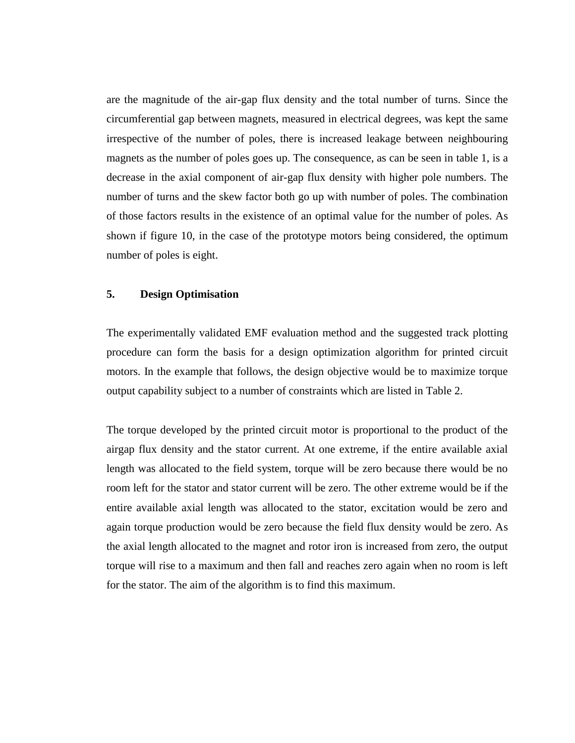are the magnitude of the air-gap flux density and the total number of turns. Since the circumferential gap between magnets, measured in electrical degrees, was kept the same irrespective of the number of poles, there is increased leakage between neighbouring magnets as the number of poles goes up. The consequence, as can be seen in table 1, is a decrease in the axial component of air-gap flux density with higher pole numbers. The number of turns and the skew factor both go up with number of poles. The combination of those factors results in the existence of an optimal value for the number of poles. As shown if figure 10, in the case of the prototype motors being considered, the optimum number of poles is eight.

# **5. Design Optimisation**

The experimentally validated EMF evaluation method and the suggested track plotting procedure can form the basis for a design optimization algorithm for printed circuit motors. In the example that follows, the design objective would be to maximize torque output capability subject to a number of constraints which are listed in Table 2.

The torque developed by the printed circuit motor is proportional to the product of the airgap flux density and the stator current. At one extreme, if the entire available axial length was allocated to the field system, torque will be zero because there would be no room left for the stator and stator current will be zero. The other extreme would be if the entire available axial length was allocated to the stator, excitation would be zero and again torque production would be zero because the field flux density would be zero. As the axial length allocated to the magnet and rotor iron is increased from zero, the output torque will rise to a maximum and then fall and reaches zero again when no room is left for the stator. The aim of the algorithm is to find this maximum.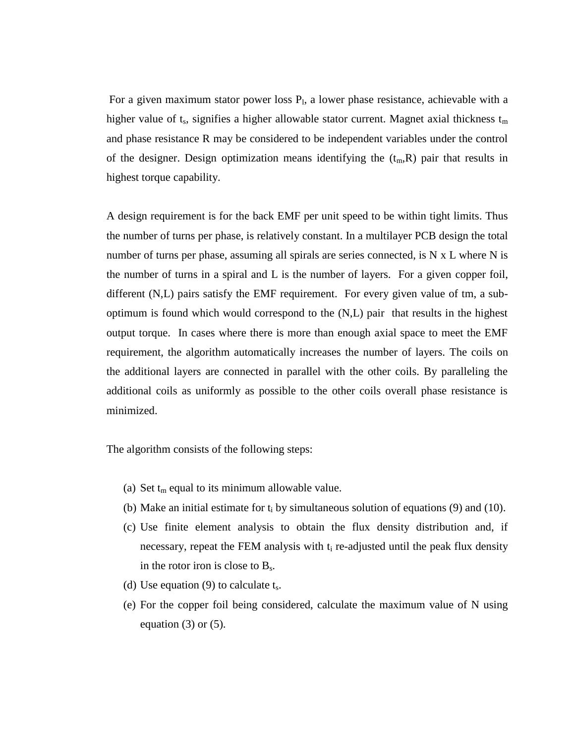For a given maximum stator power loss  $P<sub>1</sub>$ , a lower phase resistance, achievable with a higher value of  $t_s$ , signifies a higher allowable stator current. Magnet axial thickness  $t_m$ and phase resistance R may be considered to be independent variables under the control of the designer. Design optimization means identifying the  $(t_m, R)$  pair that results in highest torque capability.

A design requirement is for the back EMF per unit speed to be within tight limits. Thus the number of turns per phase, is relatively constant. In a multilayer PCB design the total number of turns per phase, assuming all spirals are series connected, is N x L where N is the number of turns in a spiral and L is the number of layers. For a given copper foil, different (N,L) pairs satisfy the EMF requirement. For every given value of tm, a suboptimum is found which would correspond to the (N,L) pair that results in the highest output torque. In cases where there is more than enough axial space to meet the EMF requirement, the algorithm automatically increases the number of layers. The coils on the additional layers are connected in parallel with the other coils. By paralleling the additional coils as uniformly as possible to the other coils overall phase resistance is minimized.

The algorithm consists of the following steps:

- (a) Set  $t_m$  equal to its minimum allowable value.
- (b) Make an initial estimate for  $t_i$  by simultaneous solution of equations (9) and (10).
- (c) Use finite element analysis to obtain the flux density distribution and, if necessary, repeat the FEM analysis with  $t_i$  re-adjusted until the peak flux density in the rotor iron is close to  $B_s$ .
- (d) Use equation (9) to calculate  $t_s$ .
- (e) For the copper foil being considered, calculate the maximum value of N using equation  $(3)$  or  $(5)$ .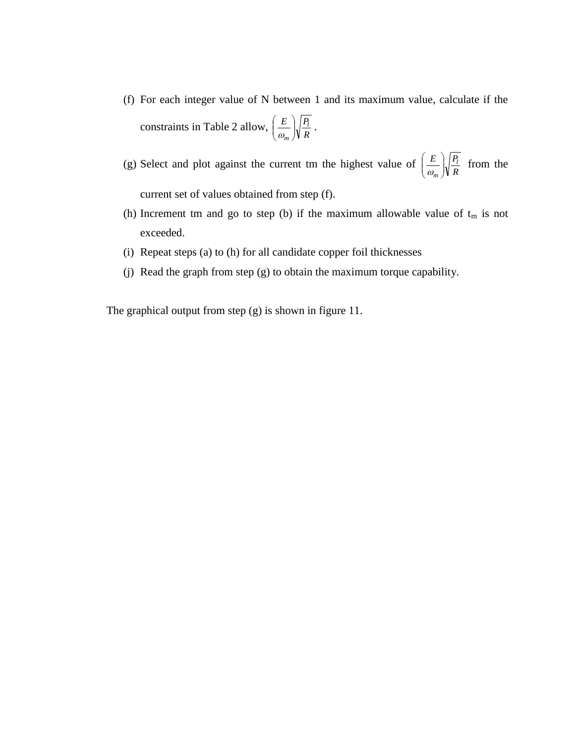- (f) For each integer value of N between 1 and its maximum value, calculate if the constraints in Table 2 allow,  $\left(\frac{E}{\omega_m}\right)\sqrt{\frac{I_I}{R}}$  $E \big| P_l$  $\left(\frac{2}{m}\right)$ J  $\backslash$  $\overline{\phantom{a}}$ J ſ  $\frac{E}{\omega_{\infty}}\sqrt{\frac{I_l}{R}}$ .
- (g) Select and plot against the current tm the highest value of  $\left(\frac{E}{\omega_m}\right)\sqrt{\frac{I_I}{R}}$  $E \bigcap P_l$  $\left(\frac{2}{m}\right)$ J  $\backslash$  $\overline{\phantom{a}}$  $\backslash$ ſ  $\frac{E}{\omega_{m}}\sqrt{\frac{F_{l}}{R}}$  from the current set of values obtained from step (f).
- (h) Increment tm and go to step (b) if the maximum allowable value of  $t_m$  is not exceeded.
- (i) Repeat steps (a) to (h) for all candidate copper foil thicknesses
- (j) Read the graph from step (g) to obtain the maximum torque capability.

The graphical output from step (g) is shown in figure 11.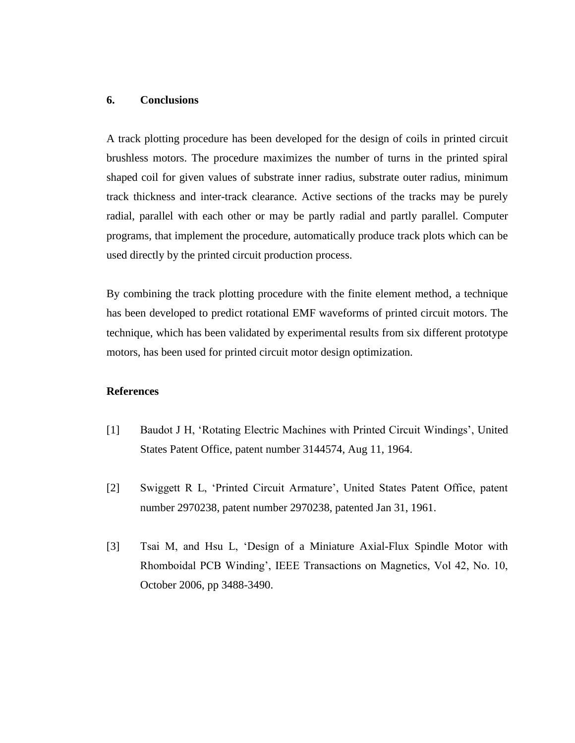# **6. Conclusions**

A track plotting procedure has been developed for the design of coils in printed circuit brushless motors. The procedure maximizes the number of turns in the printed spiral shaped coil for given values of substrate inner radius, substrate outer radius, minimum track thickness and inter-track clearance. Active sections of the tracks may be purely radial, parallel with each other or may be partly radial and partly parallel. Computer programs, that implement the procedure, automatically produce track plots which can be used directly by the printed circuit production process.

By combining the track plotting procedure with the finite element method, a technique has been developed to predict rotational EMF waveforms of printed circuit motors. The technique, which has been validated by experimental results from six different prototype motors, has been used for printed circuit motor design optimization.

# **References**

- [1] Baudot J H, 'Rotating Electric Machines with Printed Circuit Windings', United States Patent Office, patent number 3144574, Aug 11, 1964.
- [2] Swiggett R L, 'Printed Circuit Armature', United States Patent Office, patent number 2970238, patent number 2970238, patented Jan 31, 1961.
- [3] Tsai M, and Hsu L, 'Design of a Miniature Axial-Flux Spindle Motor with Rhomboidal PCB Winding', IEEE Transactions on Magnetics, Vol 42, No. 10, October 2006, pp 3488-3490.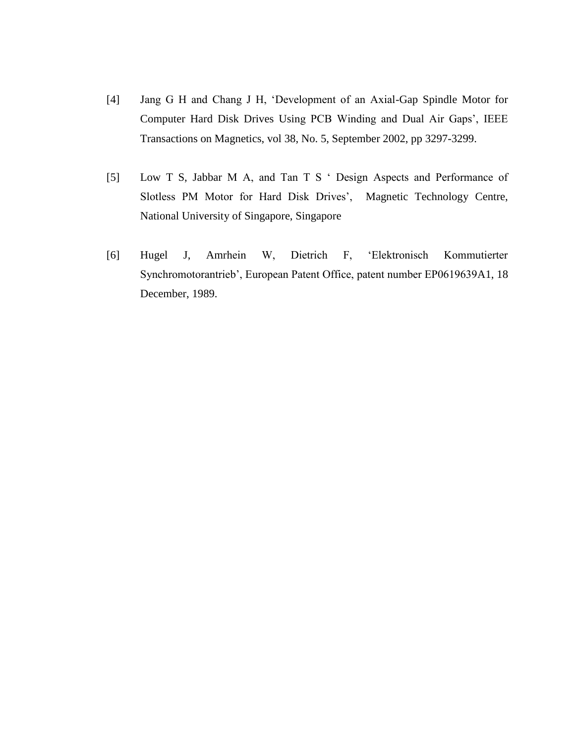- [4] Jang G H and Chang J H, 'Development of an Axial-Gap Spindle Motor for Computer Hard Disk Drives Using PCB Winding and Dual Air Gaps', IEEE Transactions on Magnetics, vol 38, No. 5, September 2002, pp 3297-3299.
- [5] Low T S, Jabbar M A, and Tan T S ' Design Aspects and Performance of Slotless PM Motor for Hard Disk Drives', Magnetic Technology Centre, National University of Singapore, Singapore
- [6] Hugel J, Amrhein W, Dietrich F, 'Elektronisch Kommutierter Synchromotorantrieb', European Patent Office, patent number EP0619639A1, 18 December, 1989.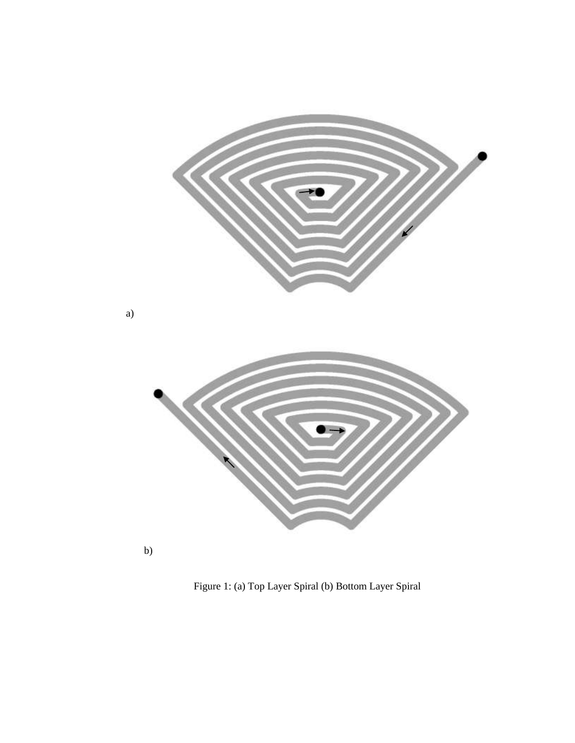

Figure 1: (a) Top Layer Spiral (b) Bottom Layer Spiral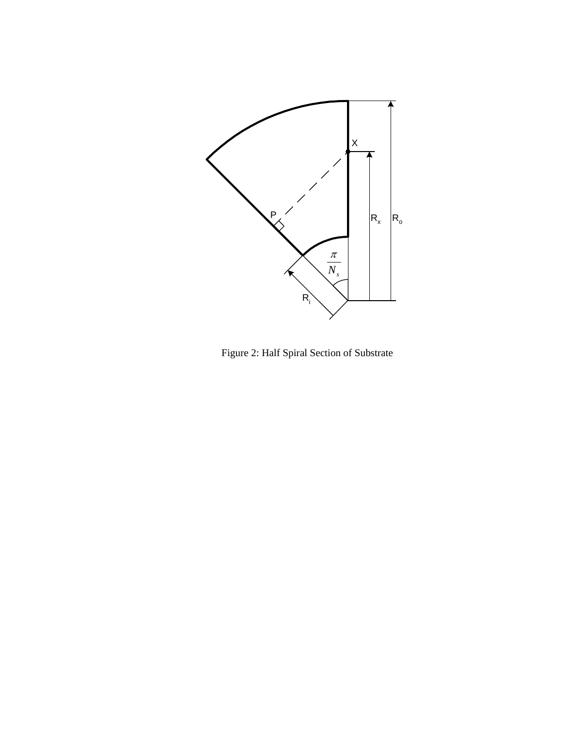

Figure 2: Half Spiral Section of Substrate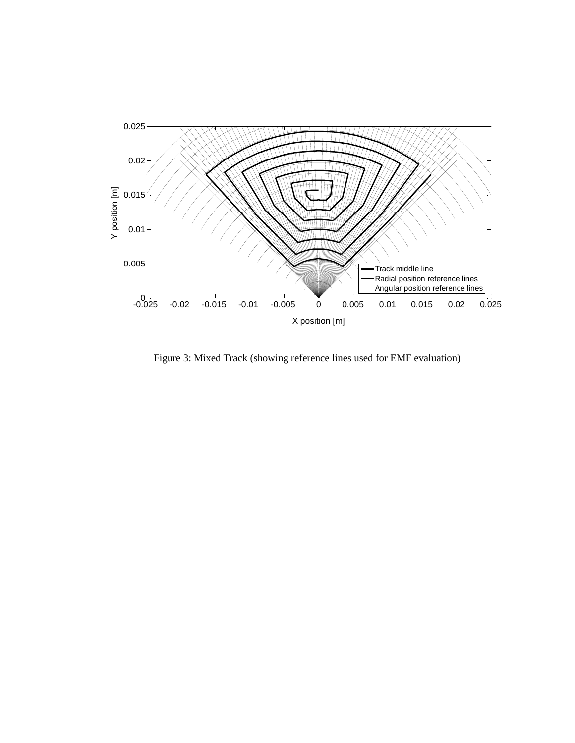

Figure 3: Mixed Track (showing reference lines used for EMF evaluation)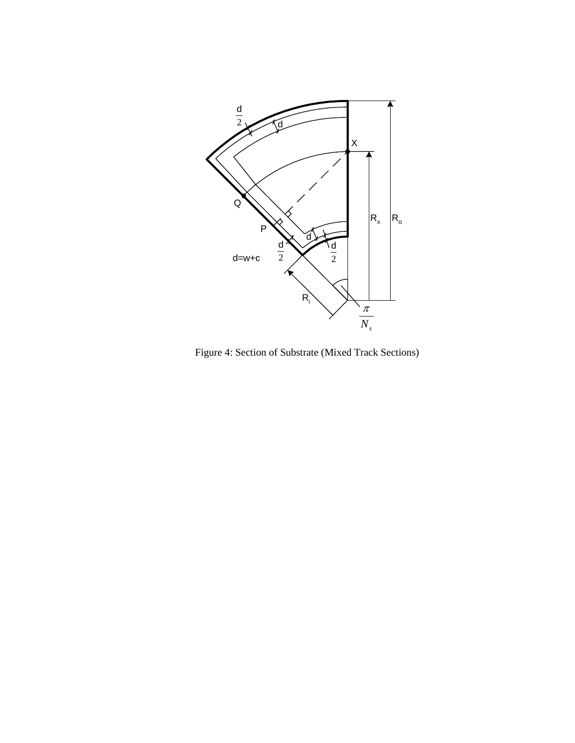

Figure 4: Section of Substrate (Mixed Track Sections)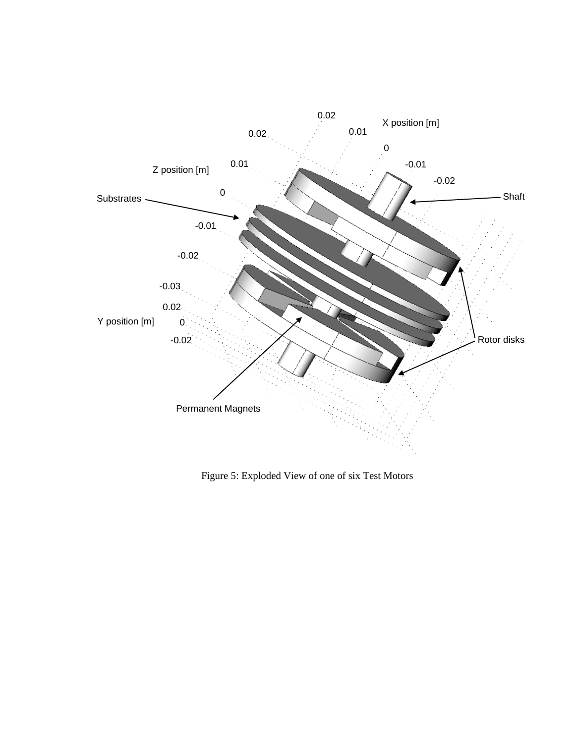

Figure 5: Exploded View of one of six Test Motors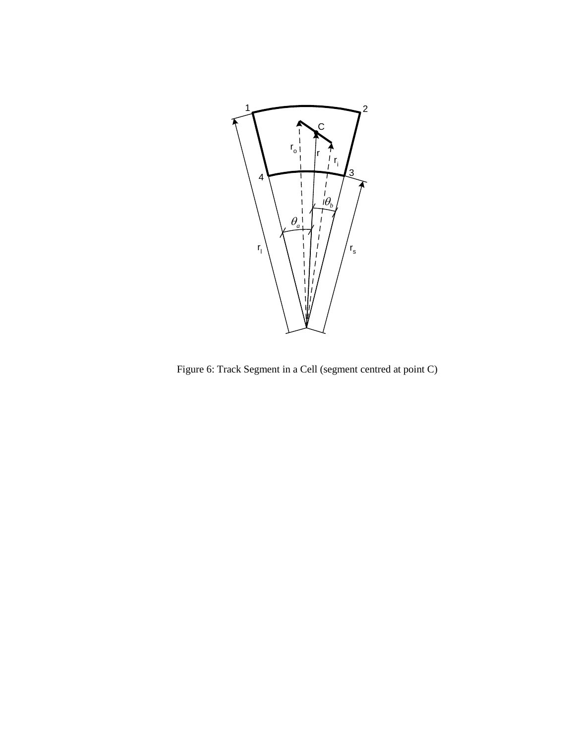

Figure 6: Track Segment in a Cell (segment centred at point C)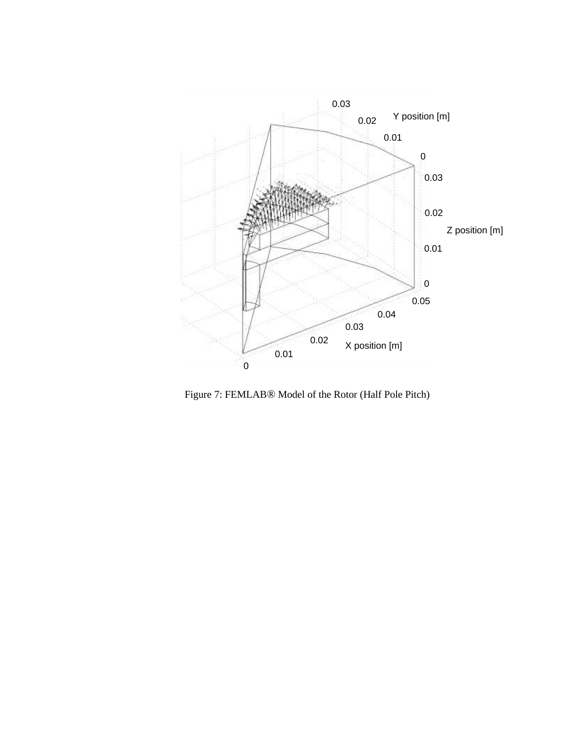

Figure 7: FEMLAB® Model of the Rotor (Half Pole Pitch)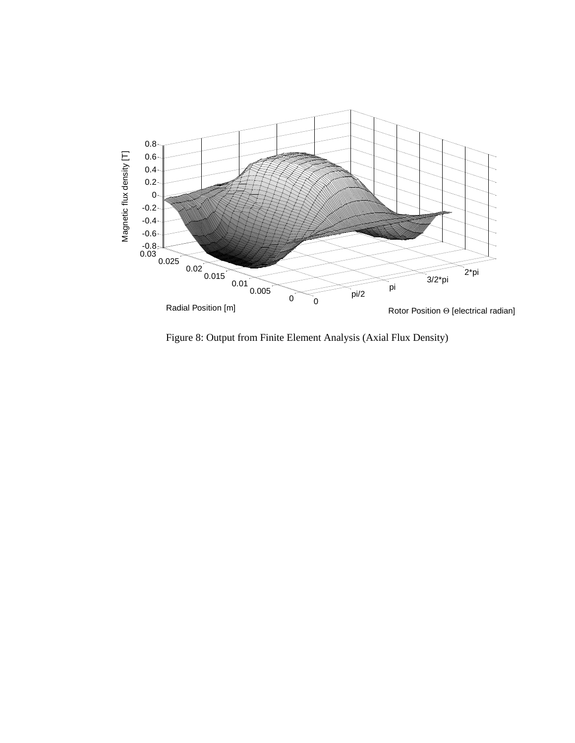

Figure 8: Output from Finite Element Analysis (Axial Flux Density)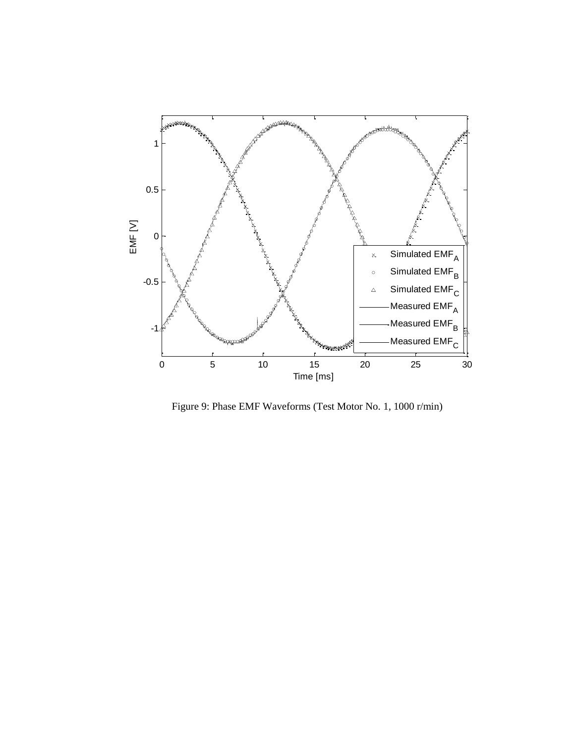

Figure 9: Phase EMF Waveforms (Test Motor No. 1, 1000 r/min)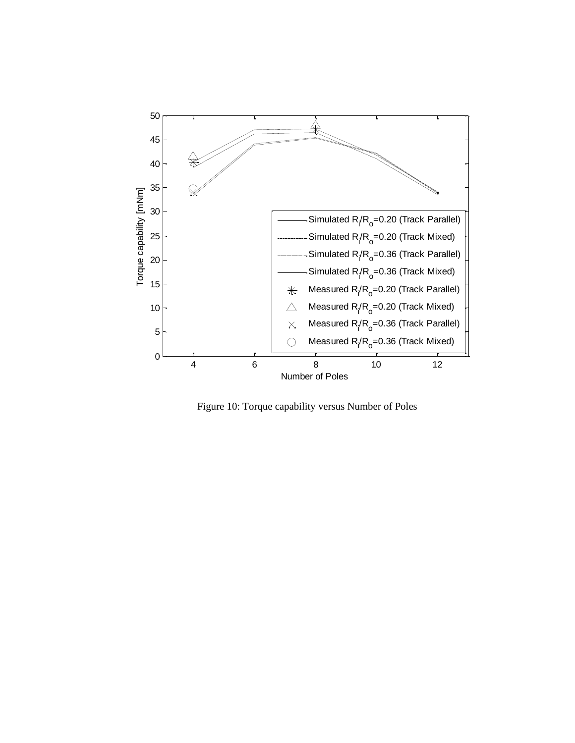

Figure 10: Torque capability versus Number of Poles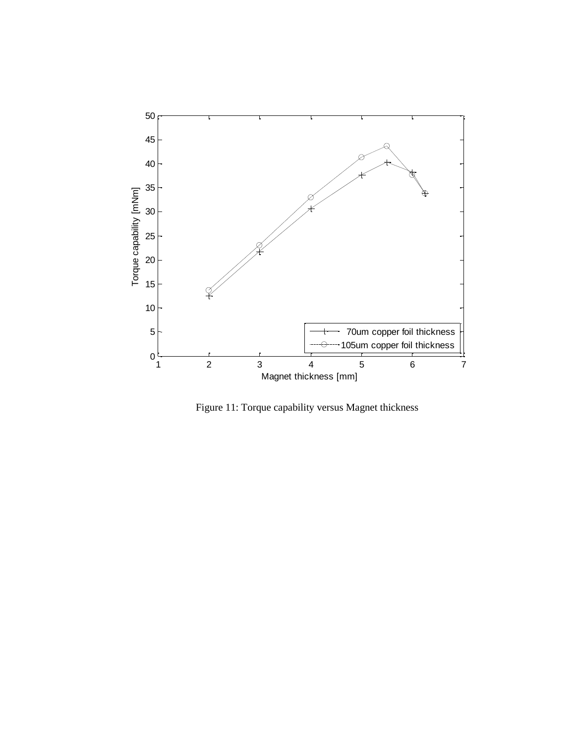

Figure 11: Torque capability versus Magnet thickness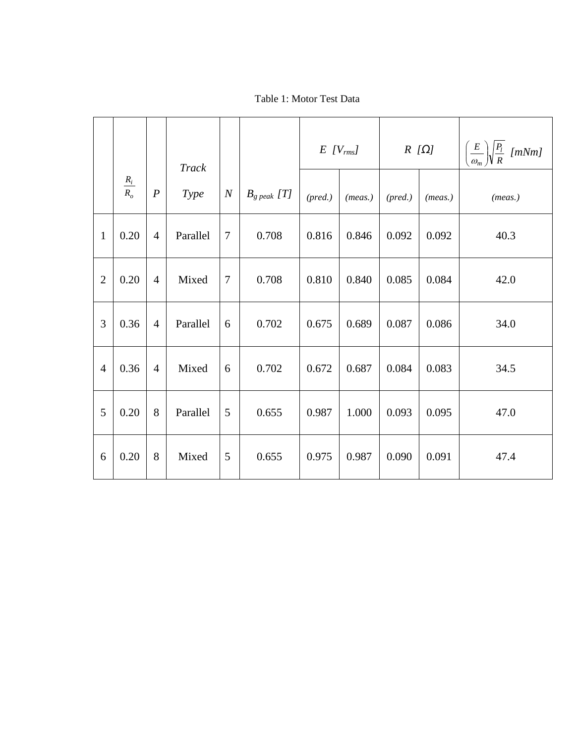# Table 1: Motor Test Data

|                |                   |                  | <b>Track</b> |                  |                   | $E$ [V <sub>rms</sub> ] |         | $R[\Omega]$ |         | $\left(\frac{E}{\omega_m}\right)\sqrt{\frac{P_l}{R}}$ [mNm] |
|----------------|-------------------|------------------|--------------|------------------|-------------------|-------------------------|---------|-------------|---------|-------------------------------------------------------------|
|                | $\frac{R_i}{R_o}$ | $\boldsymbol{P}$ | Type         | $\boldsymbol{N}$ | $B_{g\ peak}$ [T] | (pred.)                 | (meas.) | (pred.)     | (meas.) | (meas.)                                                     |
| $\mathbf{1}$   | 0.20              | $\overline{4}$   | Parallel     | $\overline{7}$   | 0.708             | 0.816                   | 0.846   | 0.092       | 0.092   | 40.3                                                        |
| $\overline{2}$ | 0.20              | $\overline{4}$   | Mixed        | 7                | 0.708             | 0.810                   | 0.840   | 0.085       | 0.084   | 42.0                                                        |
| 3              | 0.36              | $\overline{4}$   | Parallel     | 6                | 0.702             | 0.675                   | 0.689   | 0.087       | 0.086   | 34.0                                                        |
| $\overline{4}$ | 0.36              | $\overline{4}$   | Mixed        | 6                | 0.702             | 0.672                   | 0.687   | 0.084       | 0.083   | 34.5                                                        |
| 5              | 0.20              | 8                | Parallel     | 5                | 0.655             | 0.987                   | 1.000   | 0.093       | 0.095   | 47.0                                                        |
| 6              | 0.20              | 8                | Mixed        | 5                | 0.655             | 0.975                   | 0.987   | 0.090       | 0.091   | 47.4                                                        |